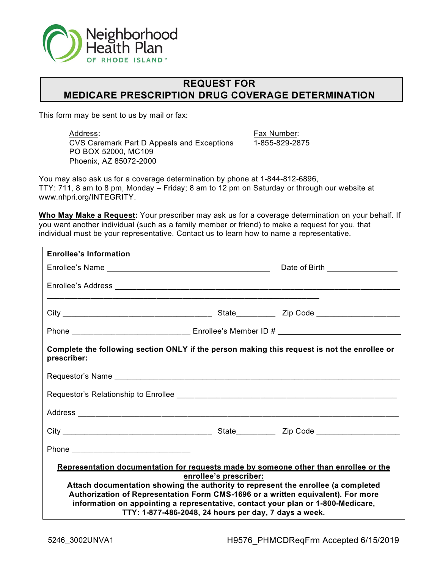

## **REQUEST FOR MEDICARE PRESCRIPTION DRUG COVERAGE DETERMINATION**

This form may be sent to us by mail or fax:

Address: CVS Caremark Part D Appeals and Exceptions PO BOX 52000, MC109 Phoenix, AZ 85072-2000

Fax Number: 1-855-829-2875

You may also ask us for a coverage determination by phone at 1-844-812-6896, TTY: 711, 8 am to 8 pm, Monday – Friday; 8 am to 12 pm on Saturday or through our website at www.nhpri.org/INTEGRITY.

**Who May Make a Request:** Your prescriber may ask us for a coverage determination on your behalf. If you want another individual (such as a family member or friend) to make a request for you, that individual must be your representative. Contact us to learn how to name a representative.

| <b>Enrollee's Information</b>                                                                                                                                                                                                                                                                                                                     |                                                                                 |                                 |
|---------------------------------------------------------------------------------------------------------------------------------------------------------------------------------------------------------------------------------------------------------------------------------------------------------------------------------------------------|---------------------------------------------------------------------------------|---------------------------------|
|                                                                                                                                                                                                                                                                                                                                                   |                                                                                 | Date of Birth _________________ |
|                                                                                                                                                                                                                                                                                                                                                   |                                                                                 |                                 |
|                                                                                                                                                                                                                                                                                                                                                   |                                                                                 |                                 |
|                                                                                                                                                                                                                                                                                                                                                   |                                                                                 |                                 |
| Complete the following section ONLY if the person making this request is not the enrollee or<br>prescriber:                                                                                                                                                                                                                                       |                                                                                 |                                 |
|                                                                                                                                                                                                                                                                                                                                                   |                                                                                 |                                 |
|                                                                                                                                                                                                                                                                                                                                                   |                                                                                 |                                 |
|                                                                                                                                                                                                                                                                                                                                                   |                                                                                 |                                 |
|                                                                                                                                                                                                                                                                                                                                                   |                                                                                 |                                 |
| Phone ______________________________                                                                                                                                                                                                                                                                                                              |                                                                                 |                                 |
| Representation documentation for requests made by someone other than enrollee or the<br>Attach documentation showing the authority to represent the enrollee (a completed<br>Authorization of Representation Form CMS-1696 or a written equivalent). For more<br>information on appointing a representative, contact your plan or 1-800-Medicare, | enrollee's prescriber:<br>TTY: 1-877-486-2048, 24 hours per day, 7 days a week. |                                 |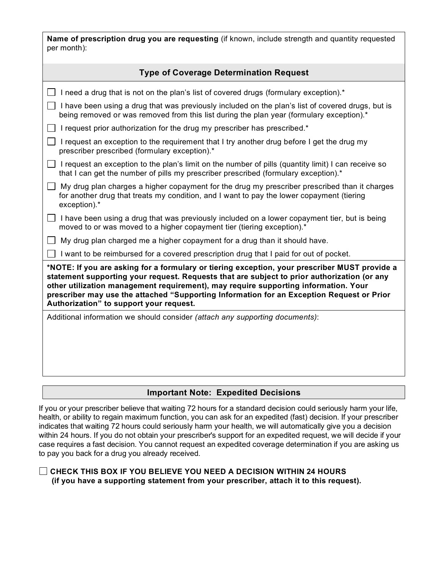| <b>Name of prescription drug you are requesting</b> (if known, include strength and quantity requested |  |  |  |
|--------------------------------------------------------------------------------------------------------|--|--|--|
| per month):                                                                                            |  |  |  |

| <b>Type of Coverage Determination Request</b>                                                                                                                                                                                                                                                                                                                                                                               |
|-----------------------------------------------------------------------------------------------------------------------------------------------------------------------------------------------------------------------------------------------------------------------------------------------------------------------------------------------------------------------------------------------------------------------------|
|                                                                                                                                                                                                                                                                                                                                                                                                                             |
| I need a drug that is not on the plan's list of covered drugs (formulary exception).*                                                                                                                                                                                                                                                                                                                                       |
| I have been using a drug that was previously included on the plan's list of covered drugs, but is<br>being removed or was removed from this list during the plan year (formulary exception).*                                                                                                                                                                                                                               |
| I request prior authorization for the drug my prescriber has prescribed.*                                                                                                                                                                                                                                                                                                                                                   |
| I request an exception to the requirement that I try another drug before I get the drug my<br>prescriber prescribed (formulary exception).*                                                                                                                                                                                                                                                                                 |
| I request an exception to the plan's limit on the number of pills (quantity limit) I can receive so<br>that I can get the number of pills my prescriber prescribed (formulary exception).*                                                                                                                                                                                                                                  |
| My drug plan charges a higher copayment for the drug my prescriber prescribed than it charges<br>for another drug that treats my condition, and I want to pay the lower copayment (tiering<br>exception).*                                                                                                                                                                                                                  |
| I have been using a drug that was previously included on a lower copayment tier, but is being<br>moved to or was moved to a higher copayment tier (tiering exception).*                                                                                                                                                                                                                                                     |
| My drug plan charged me a higher copayment for a drug than it should have.                                                                                                                                                                                                                                                                                                                                                  |
| I want to be reimbursed for a covered prescription drug that I paid for out of pocket.                                                                                                                                                                                                                                                                                                                                      |
| *NOTE: If you are asking for a formulary or tiering exception, your prescriber MUST provide a<br>statement supporting your request. Requests that are subject to prior authorization (or any<br>other utilization management requirement), may require supporting information. Your<br>prescriber may use the attached "Supporting Information for an Exception Request or Prior<br>Authorization" to support your request. |
| Additional information we should consider (attach any supporting documents):                                                                                                                                                                                                                                                                                                                                                |
|                                                                                                                                                                                                                                                                                                                                                                                                                             |

## **Important Note: Expedited Decisions**

If you or your prescriber believe that waiting 72 hours for a standard decision could seriously harm your life, health, or ability to regain maximum function, you can ask for an expedited (fast) decision. If your prescriber indicates that waiting 72 hours could seriously harm your health, we will automatically give you a decision within 24 hours. If you do not obtain your prescriber's support for an expedited request, we will decide if your case requires a fast decision. You cannot request an expedited coverage determination if you are asking us to pay you back for a drug you already received.

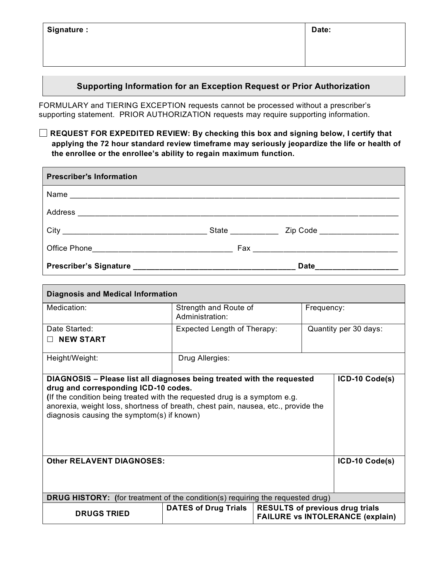| Signature: | Date: |
|------------|-------|
|------------|-------|

## **Supporting Information for an Exception Request or Prior Authorization**

FORMULARY and TIERING EXCEPTION requests cannot be processed without a prescriber's supporting statement. PRIOR AUTHORIZATION requests may require supporting information.

**REQUEST FOR EXPEDITED REVIEW: By checking this box and signing below, I certify that applying the 72 hour standard review timeframe may seriously jeopardize the life or health of the enrollee or the enrollee's ability to regain maximum function.**

| <b>Prescriber's Information</b>               |                             |                                      |  |
|-----------------------------------------------|-----------------------------|--------------------------------------|--|
| Name                                          |                             |                                      |  |
|                                               |                             |                                      |  |
|                                               | <b>State Exercise State</b> | Zip Code ____________________        |  |
| Office Phone ________________________________ |                             | Fax ___ ____________________________ |  |
| <b>Prescriber's Signature</b>                 |                             | <b>Date</b>                          |  |

| <b>Diagnosis and Medical Information</b>                                                                                                                                                                                                                                                                                       |                                          |                                                                                   |                       |  |  |
|--------------------------------------------------------------------------------------------------------------------------------------------------------------------------------------------------------------------------------------------------------------------------------------------------------------------------------|------------------------------------------|-----------------------------------------------------------------------------------|-----------------------|--|--|
| Medication:                                                                                                                                                                                                                                                                                                                    | Strength and Route of<br>Administration: |                                                                                   | Frequency:            |  |  |
| Date Started:                                                                                                                                                                                                                                                                                                                  | Expected Length of Therapy:              |                                                                                   | Quantity per 30 days: |  |  |
| <b>NEW START</b><br>$\perp$                                                                                                                                                                                                                                                                                                    |                                          |                                                                                   |                       |  |  |
| Height/Weight:                                                                                                                                                                                                                                                                                                                 | Drug Allergies:                          |                                                                                   |                       |  |  |
| DIAGNOSIS - Please list all diagnoses being treated with the requested<br>drug and corresponding ICD-10 codes.<br>(If the condition being treated with the requested drug is a symptom e.g.<br>anorexia, weight loss, shortness of breath, chest pain, nausea, etc., provide the<br>diagnosis causing the symptom(s) if known) |                                          |                                                                                   | ICD-10 Code(s)        |  |  |
| <b>Other RELAVENT DIAGNOSES:</b>                                                                                                                                                                                                                                                                                               |                                          |                                                                                   | ICD-10 Code(s)        |  |  |
| <b>DRUG HISTORY:</b> (for treatment of the condition(s) requiring the requested drug)                                                                                                                                                                                                                                          |                                          |                                                                                   |                       |  |  |
| <b>DRUGS TRIED</b>                                                                                                                                                                                                                                                                                                             | <b>DATES of Drug Trials</b>              | <b>RESULTS of previous drug trials</b><br><b>FAILURE vs INTOLERANCE (explain)</b> |                       |  |  |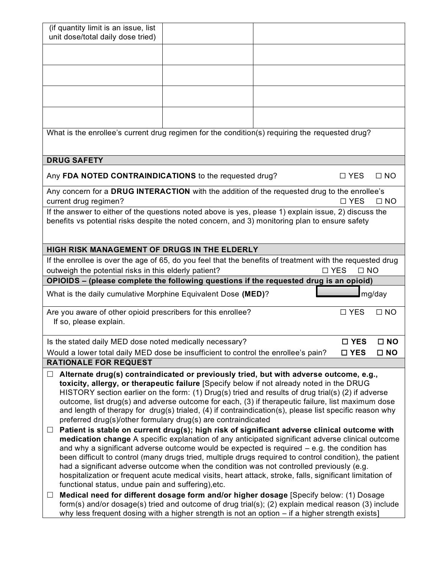| (if quantity limit is an issue, list                                                                                                                                                                   |  |               |              |
|--------------------------------------------------------------------------------------------------------------------------------------------------------------------------------------------------------|--|---------------|--------------|
| unit dose/total daily dose tried)                                                                                                                                                                      |  |               |              |
|                                                                                                                                                                                                        |  |               |              |
|                                                                                                                                                                                                        |  |               |              |
|                                                                                                                                                                                                        |  |               |              |
|                                                                                                                                                                                                        |  |               |              |
|                                                                                                                                                                                                        |  |               |              |
|                                                                                                                                                                                                        |  |               |              |
|                                                                                                                                                                                                        |  |               |              |
| What is the enrollee's current drug regimen for the condition(s) requiring the requested drug?                                                                                                         |  |               |              |
|                                                                                                                                                                                                        |  |               |              |
|                                                                                                                                                                                                        |  |               |              |
| <b>DRUG SAFETY</b>                                                                                                                                                                                     |  |               |              |
| Any FDA NOTED CONTRAINDICATIONS to the requested drug?                                                                                                                                                 |  | $\Box$ YES    | $\Box$ NO    |
| Any concern for a DRUG INTERACTION with the addition of the requested drug to the enrollee's                                                                                                           |  |               |              |
| current drug regimen?                                                                                                                                                                                  |  | $\Box$ YES    | $\Box$ NO    |
| If the answer to either of the questions noted above is yes, please 1) explain issue, 2) discuss the                                                                                                   |  |               |              |
| benefits vs potential risks despite the noted concern, and 3) monitoring plan to ensure safety                                                                                                         |  |               |              |
|                                                                                                                                                                                                        |  |               |              |
|                                                                                                                                                                                                        |  |               |              |
| HIGH RISK MANAGEMENT OF DRUGS IN THE ELDERLY                                                                                                                                                           |  |               |              |
| If the enrollee is over the age of 65, do you feel that the benefits of treatment with the requested drug                                                                                              |  | $\Box$ NO     |              |
| outweigh the potential risks in this elderly patient?                                                                                                                                                  |  | $\square$ YES |              |
| OPIOIDS - (please complete the following questions if the requested drug is an opioid)                                                                                                                 |  |               |              |
| What is the daily cumulative Morphine Equivalent Dose (MED)?                                                                                                                                           |  |               | mg/day       |
| Are you aware of other opioid prescribers for this enrollee?                                                                                                                                           |  | $\square$ YES | $\Box$ NO    |
| If so, please explain.                                                                                                                                                                                 |  |               |              |
|                                                                                                                                                                                                        |  |               |              |
| Is the stated daily MED dose noted medically necessary?                                                                                                                                                |  | □ YES         | $\square$ NO |
| Would a lower total daily MED dose be insufficient to control the enrollee's pain?                                                                                                                     |  | $\square$ YES | $\square$ NO |
| <b>RATIONALE FOR REQUEST</b>                                                                                                                                                                           |  |               |              |
| Alternate drug(s) contraindicated or previously tried, but with adverse outcome, e.g.,                                                                                                                 |  |               |              |
| toxicity, allergy, or therapeutic failure [Specify below if not already noted in the DRUG                                                                                                              |  |               |              |
| HISTORY section earlier on the form: (1) Drug(s) tried and results of drug trial(s) (2) if adverse                                                                                                     |  |               |              |
| outcome, list drug(s) and adverse outcome for each, (3) if therapeutic failure, list maximum dose                                                                                                      |  |               |              |
| and length of therapy for drug(s) trialed, (4) if contraindication(s), please list specific reason why                                                                                                 |  |               |              |
| preferred drug(s)/other formulary drug(s) are contraindicated                                                                                                                                          |  |               |              |
| Patient is stable on current drug(s); high risk of significant adverse clinical outcome with<br>$\Box$                                                                                                 |  |               |              |
| medication change A specific explanation of any anticipated significant adverse clinical outcome                                                                                                       |  |               |              |
| and why a significant adverse outcome would be expected is required $-$ e.g. the condition has                                                                                                         |  |               |              |
| been difficult to control (many drugs tried, multiple drugs required to control condition), the patient                                                                                                |  |               |              |
| had a significant adverse outcome when the condition was not controlled previously (e.g.                                                                                                               |  |               |              |
| hospitalization or frequent acute medical visits, heart attack, stroke, falls, significant limitation of                                                                                               |  |               |              |
| functional status, undue pain and suffering), etc.                                                                                                                                                     |  |               |              |
|                                                                                                                                                                                                        |  |               |              |
| Medical need for different dosage form and/or higher dosage [Specify below: (1) Dosage<br>$\Box$                                                                                                       |  |               |              |
| form(s) and/or dosage(s) tried and outcome of drug trial(s); (2) explain medical reason (3) include<br>why less frequent dosing with a higher strength is not an option – if a higher strength exists] |  |               |              |